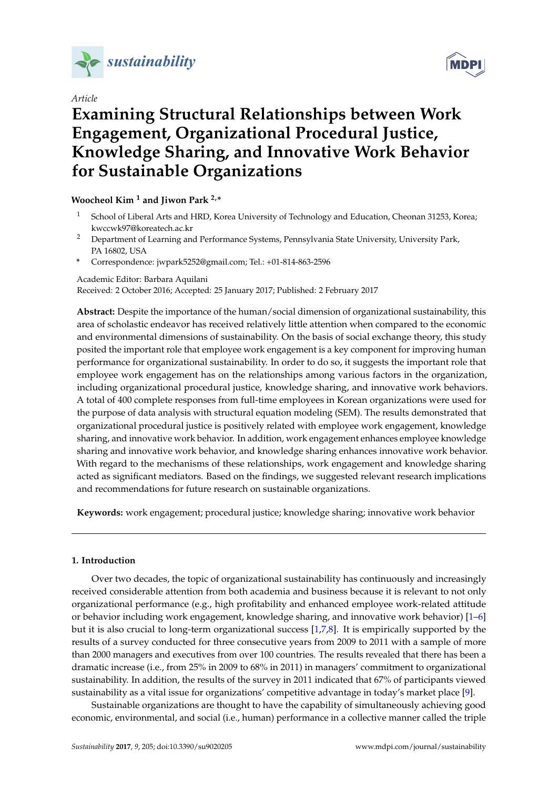

*Article*

# **MDPI**

# **Examining Structural Relationships between Work Engagement, Organizational Procedural Justice, Knowledge Sharing, and Innovative Work Behavior for Sustainable Organizations**

# **Woocheol Kim <sup>1</sup> and Jiwon Park 2,\***

- <sup>1</sup> School of Liberal Arts and HRD, Korea University of Technology and Education, Cheonan 31253, Korea; kwccwk97@koreatech.ac.kr
- <sup>2</sup> Department of Learning and Performance Systems, Pennsylvania State University, University Park, PA 16802, USA
- **\*** Correspondence: jwpark5252@gmail.com; Tel.: +01-814-863-2596

Academic Editor: Barbara Aquilani Received: 2 October 2016; Accepted: 25 January 2017; Published: 2 February 2017

**Abstract:** Despite the importance of the human/social dimension of organizational sustainability, this area of scholastic endeavor has received relatively little attention when compared to the economic and environmental dimensions of sustainability. On the basis of social exchange theory, this study posited the important role that employee work engagement is a key component for improving human performance for organizational sustainability. In order to do so, it suggests the important role that employee work engagement has on the relationships among various factors in the organization, including organizational procedural justice, knowledge sharing, and innovative work behaviors. A total of 400 complete responses from full-time employees in Korean organizations were used for the purpose of data analysis with structural equation modeling (SEM). The results demonstrated that organizational procedural justice is positively related with employee work engagement, knowledge sharing, and innovative work behavior. In addition, work engagement enhances employee knowledge sharing and innovative work behavior, and knowledge sharing enhances innovative work behavior. With regard to the mechanisms of these relationships, work engagement and knowledge sharing acted as significant mediators. Based on the findings, we suggested relevant research implications and recommendations for future research on sustainable organizations.

**Keywords:** work engagement; procedural justice; knowledge sharing; innovative work behavior

# **1. Introduction**

Over two decades, the topic of organizational sustainability has continuously and increasingly received considerable attention from both academia and business because it is relevant to not only organizational performance (e.g., high profitability and enhanced employee work-related attitude or behavior including work engagement, knowledge sharing, and innovative work behavior) [\[1](#page-12-0)[–6\]](#page-13-0) but it is also crucial to long-term organizational success [\[1,](#page-12-0)[7,](#page-13-1)[8\]](#page-13-2). It is empirically supported by the results of a survey conducted for three consecutive years from 2009 to 2011 with a sample of more than 2000 managers and executives from over 100 countries. The results revealed that there has been a dramatic increase (i.e., from 25% in 2009 to 68% in 2011) in managers' commitment to organizational sustainability. In addition, the results of the survey in 2011 indicated that 67% of participants viewed sustainability as a vital issue for organizations' competitive advantage in today's market place [\[9\]](#page-13-3).

Sustainable organizations are thought to have the capability of simultaneously achieving good economic, environmental, and social (i.e., human) performance in a collective manner called the triple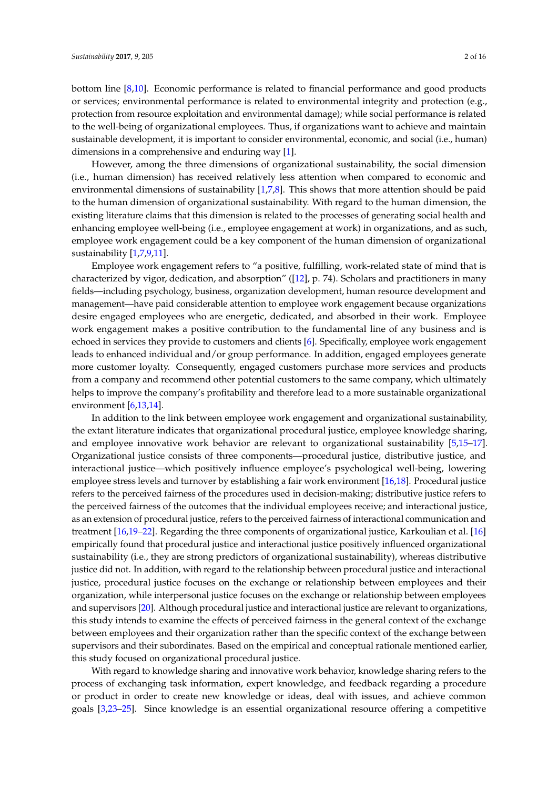bottom line [\[8](#page-13-2)[,10\]](#page-13-4). Economic performance is related to financial performance and good products or services; environmental performance is related to environmental integrity and protection (e.g., protection from resource exploitation and environmental damage); while social performance is related to the well-being of organizational employees. Thus, if organizations want to achieve and maintain sustainable development, it is important to consider environmental, economic, and social (i.e., human) dimensions in a comprehensive and enduring way [\[1\]](#page-12-0).

However, among the three dimensions of organizational sustainability, the social dimension (i.e., human dimension) has received relatively less attention when compared to economic and environmental dimensions of sustainability [\[1](#page-12-0)[,7](#page-13-1)[,8\]](#page-13-2). This shows that more attention should be paid to the human dimension of organizational sustainability. With regard to the human dimension, the existing literature claims that this dimension is related to the processes of generating social health and enhancing employee well-being (i.e., employee engagement at work) in organizations, and as such, employee work engagement could be a key component of the human dimension of organizational sustainability [\[1,](#page-12-0)[7,](#page-13-1)[9,](#page-13-3)[11\]](#page-13-5).

Employee work engagement refers to "a positive, fulfilling, work-related state of mind that is characterized by vigor, dedication, and absorption" ([\[12\]](#page-13-6), p. 74). Scholars and practitioners in many fields—including psychology, business, organization development, human resource development and management—have paid considerable attention to employee work engagement because organizations desire engaged employees who are energetic, dedicated, and absorbed in their work. Employee work engagement makes a positive contribution to the fundamental line of any business and is echoed in services they provide to customers and clients [\[6\]](#page-13-0). Specifically, employee work engagement leads to enhanced individual and/or group performance. In addition, engaged employees generate more customer loyalty. Consequently, engaged customers purchase more services and products from a company and recommend other potential customers to the same company, which ultimately helps to improve the company's profitability and therefore lead to a more sustainable organizational environment [\[6,](#page-13-0)[13](#page-13-7)[,14\]](#page-13-8).

In addition to the link between employee work engagement and organizational sustainability, the extant literature indicates that organizational procedural justice, employee knowledge sharing, and employee innovative work behavior are relevant to organizational sustainability [\[5,](#page-12-1)[15–](#page-13-9)[17\]](#page-13-10). Organizational justice consists of three components—procedural justice, distributive justice, and interactional justice—which positively influence employee's psychological well-being, lowering employee stress levels and turnover by establishing a fair work environment [\[16,](#page-13-11)[18\]](#page-13-12). Procedural justice refers to the perceived fairness of the procedures used in decision-making; distributive justice refers to the perceived fairness of the outcomes that the individual employees receive; and interactional justice, as an extension of procedural justice, refers to the perceived fairness of interactional communication and treatment [\[16](#page-13-11)[,19](#page-13-13)[–22\]](#page-13-14). Regarding the three components of organizational justice, Karkoulian et al. [\[16\]](#page-13-11) empirically found that procedural justice and interactional justice positively influenced organizational sustainability (i.e., they are strong predictors of organizational sustainability), whereas distributive justice did not. In addition, with regard to the relationship between procedural justice and interactional justice, procedural justice focuses on the exchange or relationship between employees and their organization, while interpersonal justice focuses on the exchange or relationship between employees and supervisors [\[20\]](#page-13-15). Although procedural justice and interactional justice are relevant to organizations, this study intends to examine the effects of perceived fairness in the general context of the exchange between employees and their organization rather than the specific context of the exchange between supervisors and their subordinates. Based on the empirical and conceptual rationale mentioned earlier, this study focused on organizational procedural justice.

With regard to knowledge sharing and innovative work behavior, knowledge sharing refers to the process of exchanging task information, expert knowledge, and feedback regarding a procedure or product in order to create new knowledge or ideas, deal with issues, and achieve common goals [\[3,](#page-12-2)[23](#page-13-16)[–25\]](#page-13-17). Since knowledge is an essential organizational resource offering a competitive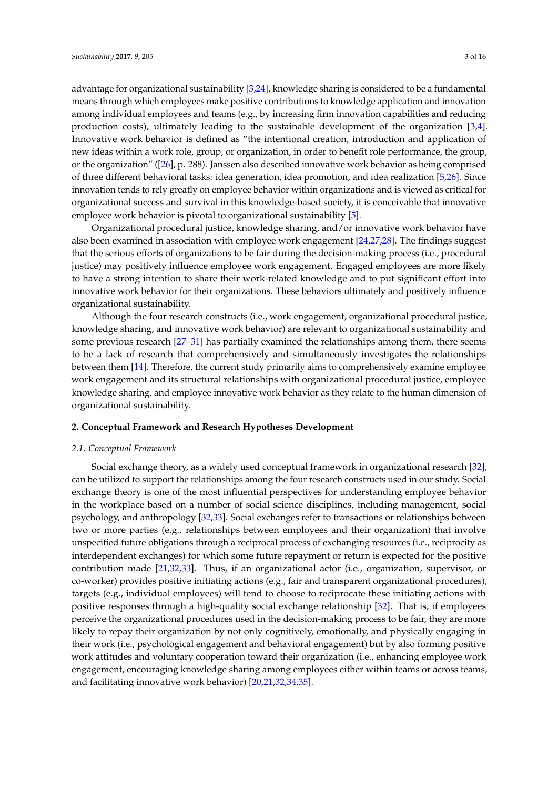advantage for organizational sustainability [\[3,](#page-12-2)[24\]](#page-13-18), knowledge sharing is considered to be a fundamental means through which employees make positive contributions to knowledge application and innovation among individual employees and teams (e.g., by increasing firm innovation capabilities and reducing production costs), ultimately leading to the sustainable development of the organization [\[3,](#page-12-2)[4\]](#page-12-3). Innovative work behavior is defined as "the intentional creation, introduction and application of new ideas within a work role, group, or organization, in order to benefit role performance, the group, or the organization" ([\[26\]](#page-13-19), p. 288). Janssen also described innovative work behavior as being comprised of three different behavioral tasks: idea generation, idea promotion, and idea realization [\[5](#page-12-1)[,26\]](#page-13-19). Since innovation tends to rely greatly on employee behavior within organizations and is viewed as critical for organizational success and survival in this knowledge-based society, it is conceivable that innovative employee work behavior is pivotal to organizational sustainability [\[5\]](#page-12-1).

Organizational procedural justice, knowledge sharing, and/or innovative work behavior have also been examined in association with employee work engagement [\[24](#page-13-18)[,27](#page-13-20)[,28\]](#page-13-21). The findings suggest that the serious efforts of organizations to be fair during the decision-making process (i.e., procedural justice) may positively influence employee work engagement. Engaged employees are more likely to have a strong intention to share their work-related knowledge and to put significant effort into innovative work behavior for their organizations. These behaviors ultimately and positively influence organizational sustainability.

Although the four research constructs (i.e., work engagement, organizational procedural justice, knowledge sharing, and innovative work behavior) are relevant to organizational sustainability and some previous research [\[27–](#page-13-20)[31\]](#page-14-0) has partially examined the relationships among them, there seems to be a lack of research that comprehensively and simultaneously investigates the relationships between them [\[14\]](#page-13-8). Therefore, the current study primarily aims to comprehensively examine employee work engagement and its structural relationships with organizational procedural justice, employee knowledge sharing, and employee innovative work behavior as they relate to the human dimension of organizational sustainability.

## **2. Conceptual Framework and Research Hypotheses Development**

#### *2.1. Conceptual Framework*

Social exchange theory, as a widely used conceptual framework in organizational research [\[32\]](#page-14-1), can be utilized to support the relationships among the four research constructs used in our study. Social exchange theory is one of the most influential perspectives for understanding employee behavior in the workplace based on a number of social science disciplines, including management, social psychology, and anthropology [\[32](#page-14-1)[,33\]](#page-14-2). Social exchanges refer to transactions or relationships between two or more parties (e.g., relationships between employees and their organization) that involve unspecified future obligations through a reciprocal process of exchanging resources (i.e., reciprocity as interdependent exchanges) for which some future repayment or return is expected for the positive contribution made [\[21](#page-13-22)[,32](#page-14-1)[,33\]](#page-14-2). Thus, if an organizational actor (i.e., organization, supervisor, or co-worker) provides positive initiating actions (e.g., fair and transparent organizational procedures), targets (e.g., individual employees) will tend to choose to reciprocate these initiating actions with positive responses through a high-quality social exchange relationship [\[32\]](#page-14-1). That is, if employees perceive the organizational procedures used in the decision-making process to be fair, they are more likely to repay their organization by not only cognitively, emotionally, and physically engaging in their work (i.e., psychological engagement and behavioral engagement) but by also forming positive work attitudes and voluntary cooperation toward their organization (i.e., enhancing employee work engagement, encouraging knowledge sharing among employees either within teams or across teams, and facilitating innovative work behavior) [\[20](#page-13-15)[,21](#page-13-22)[,32](#page-14-1)[,34,](#page-14-3)[35\]](#page-14-4).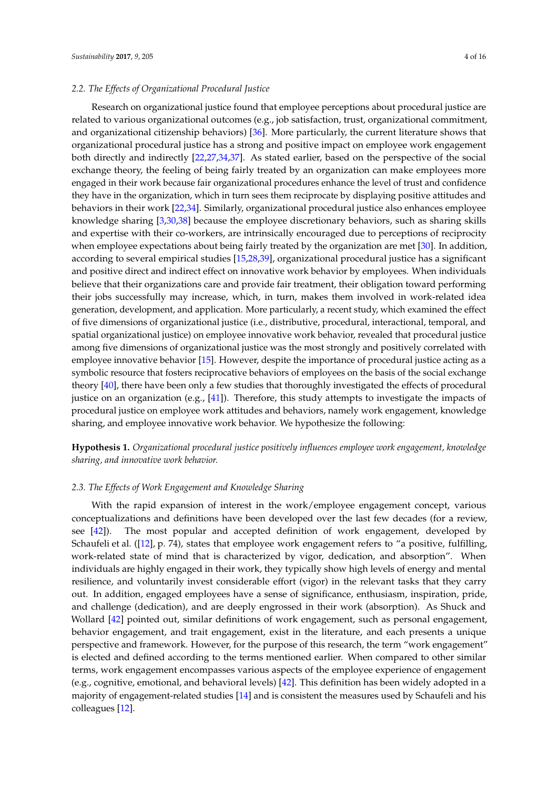#### *2.2. The Effects of Organizational Procedural Justice*

Research on organizational justice found that employee perceptions about procedural justice are related to various organizational outcomes (e.g., job satisfaction, trust, organizational commitment, and organizational citizenship behaviors) [\[36\]](#page-14-5). More particularly, the current literature shows that organizational procedural justice has a strong and positive impact on employee work engagement both directly and indirectly [\[22,](#page-13-14)[27,](#page-13-20)[34,](#page-14-3)[37\]](#page-14-6). As stated earlier, based on the perspective of the social exchange theory, the feeling of being fairly treated by an organization can make employees more engaged in their work because fair organizational procedures enhance the level of trust and confidence they have in the organization, which in turn sees them reciprocate by displaying positive attitudes and behaviors in their work [\[22,](#page-13-14)[34\]](#page-14-3). Similarly, organizational procedural justice also enhances employee knowledge sharing [\[3](#page-12-2)[,30](#page-13-23)[,38\]](#page-14-7) because the employee discretionary behaviors, such as sharing skills and expertise with their co-workers, are intrinsically encouraged due to perceptions of reciprocity when employee expectations about being fairly treated by the organization are met [\[30\]](#page-13-23). In addition, according to several empirical studies [\[15](#page-13-9)[,28](#page-13-21)[,39\]](#page-14-8), organizational procedural justice has a significant and positive direct and indirect effect on innovative work behavior by employees. When individuals believe that their organizations care and provide fair treatment, their obligation toward performing their jobs successfully may increase, which, in turn, makes them involved in work-related idea generation, development, and application. More particularly, a recent study, which examined the effect of five dimensions of organizational justice (i.e., distributive, procedural, interactional, temporal, and spatial organizational justice) on employee innovative work behavior, revealed that procedural justice among five dimensions of organizational justice was the most strongly and positively correlated with employee innovative behavior [\[15\]](#page-13-9). However, despite the importance of procedural justice acting as a symbolic resource that fosters reciprocative behaviors of employees on the basis of the social exchange theory [\[40\]](#page-14-9), there have been only a few studies that thoroughly investigated the effects of procedural justice on an organization (e.g., [\[41\]](#page-14-10)). Therefore, this study attempts to investigate the impacts of procedural justice on employee work attitudes and behaviors, namely work engagement, knowledge sharing, and employee innovative work behavior. We hypothesize the following:

**Hypothesis 1.** *Organizational procedural justice positively influences employee work engagement, knowledge sharing, and innovative work behavior.*

#### *2.3. The Effects of Work Engagement and Knowledge Sharing*

With the rapid expansion of interest in the work/employee engagement concept, various conceptualizations and definitions have been developed over the last few decades (for a review, see [\[42\]](#page-14-11)). The most popular and accepted definition of work engagement, developed by Schaufeli et al. ([\[12\]](#page-13-6), p. 74), states that employee work engagement refers to "a positive, fulfilling, work-related state of mind that is characterized by vigor, dedication, and absorption". When individuals are highly engaged in their work, they typically show high levels of energy and mental resilience, and voluntarily invest considerable effort (vigor) in the relevant tasks that they carry out. In addition, engaged employees have a sense of significance, enthusiasm, inspiration, pride, and challenge (dedication), and are deeply engrossed in their work (absorption). As Shuck and Wollard [\[42\]](#page-14-11) pointed out, similar definitions of work engagement, such as personal engagement, behavior engagement, and trait engagement, exist in the literature, and each presents a unique perspective and framework. However, for the purpose of this research, the term "work engagement" is elected and defined according to the terms mentioned earlier. When compared to other similar terms, work engagement encompasses various aspects of the employee experience of engagement (e.g., cognitive, emotional, and behavioral levels) [\[42\]](#page-14-11). This definition has been widely adopted in a majority of engagement-related studies [\[14\]](#page-13-8) and is consistent the measures used by Schaufeli and his colleagues [\[12\]](#page-13-6).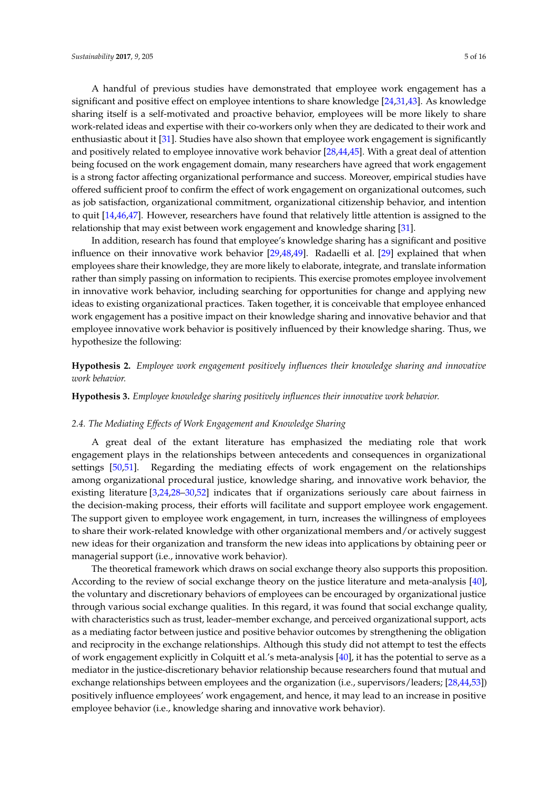A handful of previous studies have demonstrated that employee work engagement has a significant and positive effect on employee intentions to share knowledge [\[24](#page-13-18)[,31](#page-14-0)[,43\]](#page-14-12). As knowledge sharing itself is a self-motivated and proactive behavior, employees will be more likely to share work-related ideas and expertise with their co-workers only when they are dedicated to their work and enthusiastic about it [\[31\]](#page-14-0). Studies have also shown that employee work engagement is significantly and positively related to employee innovative work behavior [\[28](#page-13-21)[,44](#page-14-13)[,45\]](#page-14-14). With a great deal of attention being focused on the work engagement domain, many researchers have agreed that work engagement is a strong factor affecting organizational performance and success. Moreover, empirical studies have offered sufficient proof to confirm the effect of work engagement on organizational outcomes, such as job satisfaction, organizational commitment, organizational citizenship behavior, and intention to quit [\[14,](#page-13-8)[46,](#page-14-15)[47\]](#page-14-16). However, researchers have found that relatively little attention is assigned to the relationship that may exist between work engagement and knowledge sharing [\[31\]](#page-14-0).

In addition, research has found that employee's knowledge sharing has a significant and positive influence on their innovative work behavior [\[29](#page-13-24)[,48](#page-14-17)[,49\]](#page-14-18). Radaelli et al. [\[29\]](#page-13-24) explained that when employees share their knowledge, they are more likely to elaborate, integrate, and translate information rather than simply passing on information to recipients. This exercise promotes employee involvement in innovative work behavior, including searching for opportunities for change and applying new ideas to existing organizational practices. Taken together, it is conceivable that employee enhanced work engagement has a positive impact on their knowledge sharing and innovative behavior and that employee innovative work behavior is positively influenced by their knowledge sharing. Thus, we hypothesize the following:

**Hypothesis 2.** *Employee work engagement positively influences their knowledge sharing and innovative work behavior.*

**Hypothesis 3.** *Employee knowledge sharing positively influences their innovative work behavior.*

#### *2.4. The Mediating Effects of Work Engagement and Knowledge Sharing*

A great deal of the extant literature has emphasized the mediating role that work engagement plays in the relationships between antecedents and consequences in organizational settings [\[50,](#page-14-19)[51\]](#page-14-20). Regarding the mediating effects of work engagement on the relationships among organizational procedural justice, knowledge sharing, and innovative work behavior, the existing literature [\[3,](#page-12-2)[24,](#page-13-18)[28–](#page-13-21)[30,](#page-13-23)[52\]](#page-14-21) indicates that if organizations seriously care about fairness in the decision-making process, their efforts will facilitate and support employee work engagement. The support given to employee work engagement, in turn, increases the willingness of employees to share their work-related knowledge with other organizational members and/or actively suggest new ideas for their organization and transform the new ideas into applications by obtaining peer or managerial support (i.e., innovative work behavior).

The theoretical framework which draws on social exchange theory also supports this proposition. According to the review of social exchange theory on the justice literature and meta-analysis [\[40\]](#page-14-9), the voluntary and discretionary behaviors of employees can be encouraged by organizational justice through various social exchange qualities. In this regard, it was found that social exchange quality, with characteristics such as trust, leader–member exchange, and perceived organizational support, acts as a mediating factor between justice and positive behavior outcomes by strengthening the obligation and reciprocity in the exchange relationships. Although this study did not attempt to test the effects of work engagement explicitly in Colquitt et al.'s meta-analysis [\[40\]](#page-14-9), it has the potential to serve as a mediator in the justice-discretionary behavior relationship because researchers found that mutual and exchange relationships between employees and the organization (i.e., supervisors/leaders; [\[28](#page-13-21)[,44,](#page-14-13)[53\]](#page-14-22)) positively influence employees' work engagement, and hence, it may lead to an increase in positive employee behavior (i.e., knowledge sharing and innovative work behavior).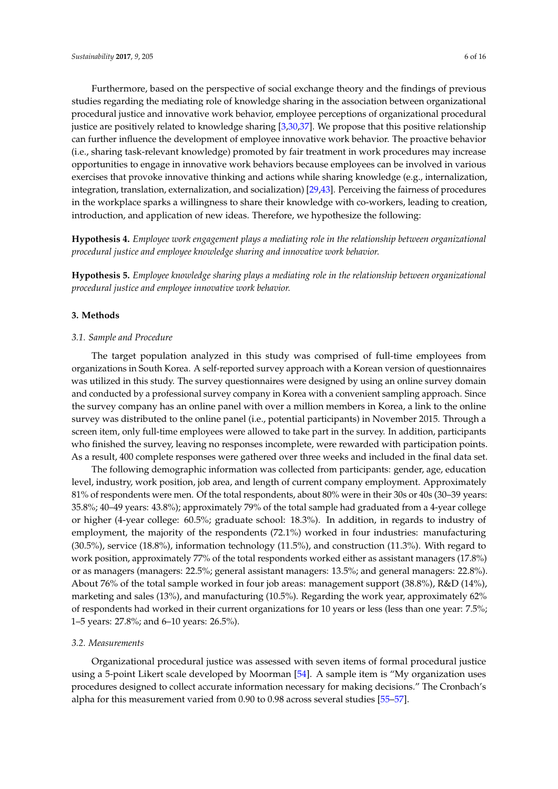Furthermore, based on the perspective of social exchange theory and the findings of previous studies regarding the mediating role of knowledge sharing in the association between organizational procedural justice and innovative work behavior, employee perceptions of organizational procedural justice are positively related to knowledge sharing [\[3,](#page-12-2)[30,](#page-13-23)[37\]](#page-14-6). We propose that this positive relationship can further influence the development of employee innovative work behavior. The proactive behavior (i.e., sharing task-relevant knowledge) promoted by fair treatment in work procedures may increase opportunities to engage in innovative work behaviors because employees can be involved in various exercises that provoke innovative thinking and actions while sharing knowledge (e.g., internalization, integration, translation, externalization, and socialization) [\[29](#page-13-24)[,43\]](#page-14-12). Perceiving the fairness of procedures in the workplace sparks a willingness to share their knowledge with co-workers, leading to creation, introduction, and application of new ideas. Therefore, we hypothesize the following:

**Hypothesis 4.** *Employee work engagement plays a mediating role in the relationship between organizational procedural justice and employee knowledge sharing and innovative work behavior.*

**Hypothesis 5.** *Employee knowledge sharing plays a mediating role in the relationship between organizational procedural justice and employee innovative work behavior.*

#### **3. Methods**

#### *3.1. Sample and Procedure*

The target population analyzed in this study was comprised of full-time employees from organizations in South Korea. A self-reported survey approach with a Korean version of questionnaires was utilized in this study. The survey questionnaires were designed by using an online survey domain and conducted by a professional survey company in Korea with a convenient sampling approach. Since the survey company has an online panel with over a million members in Korea, a link to the online survey was distributed to the online panel (i.e., potential participants) in November 2015. Through a screen item, only full-time employees were allowed to take part in the survey. In addition, participants who finished the survey, leaving no responses incomplete, were rewarded with participation points. As a result, 400 complete responses were gathered over three weeks and included in the final data set.

The following demographic information was collected from participants: gender, age, education level, industry, work position, job area, and length of current company employment. Approximately 81% of respondents were men. Of the total respondents, about 80% were in their 30s or 40s (30–39 years: 35.8%; 40–49 years: 43.8%); approximately 79% of the total sample had graduated from a 4-year college or higher (4-year college: 60.5%; graduate school: 18.3%). In addition, in regards to industry of employment, the majority of the respondents (72.1%) worked in four industries: manufacturing (30.5%), service (18.8%), information technology (11.5%), and construction (11.3%). With regard to work position, approximately 77% of the total respondents worked either as assistant managers (17.8%) or as managers (managers: 22.5%; general assistant managers: 13.5%; and general managers: 22.8%). About 76% of the total sample worked in four job areas: management support (38.8%), R&D (14%), marketing and sales (13%), and manufacturing (10.5%). Regarding the work year, approximately 62% of respondents had worked in their current organizations for 10 years or less (less than one year: 7.5%; 1–5 years: 27.8%; and 6–10 years: 26.5%).

#### *3.2. Measurements*

Organizational procedural justice was assessed with seven items of formal procedural justice using a 5-point Likert scale developed by Moorman [\[54\]](#page-15-0). A sample item is "My organization uses procedures designed to collect accurate information necessary for making decisions." The Cronbach's alpha for this measurement varied from 0.90 to 0.98 across several studies [\[55](#page-15-1)[–57\]](#page-15-2).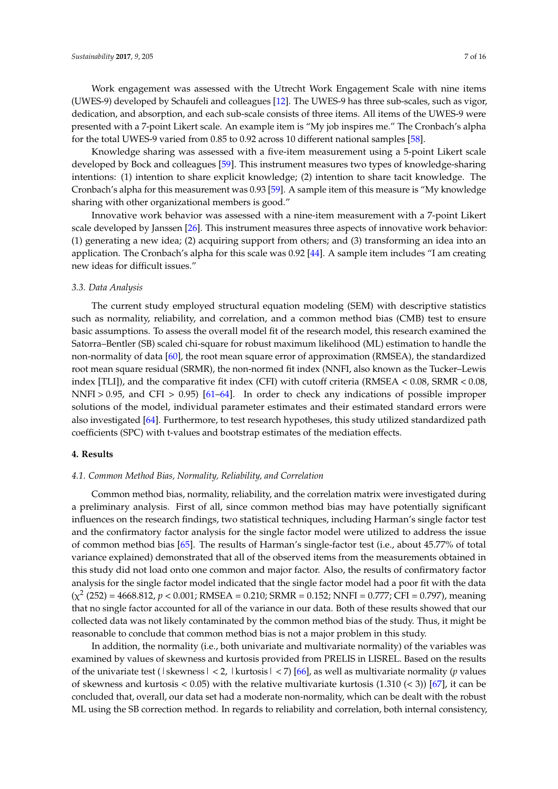Work engagement was assessed with the Utrecht Work Engagement Scale with nine items (UWES-9) developed by Schaufeli and colleagues [\[12\]](#page-13-6). The UWES-9 has three sub-scales, such as vigor, dedication, and absorption, and each sub-scale consists of three items. All items of the UWES-9 were presented with a 7-point Likert scale. An example item is "My job inspires me." The Cronbach's alpha for the total UWES-9 varied from 0.85 to 0.92 across 10 different national samples [\[58\]](#page-15-3).

Knowledge sharing was assessed with a five-item measurement using a 5-point Likert scale developed by Bock and colleagues [\[59\]](#page-15-4). This instrument measures two types of knowledge-sharing intentions: (1) intention to share explicit knowledge; (2) intention to share tacit knowledge. The Cronbach's alpha for this measurement was 0.93 [\[59\]](#page-15-4). A sample item of this measure is "My knowledge sharing with other organizational members is good."

Innovative work behavior was assessed with a nine-item measurement with a 7-point Likert scale developed by Janssen [\[26\]](#page-13-19). This instrument measures three aspects of innovative work behavior: (1) generating a new idea; (2) acquiring support from others; and (3) transforming an idea into an application. The Cronbach's alpha for this scale was 0.92 [\[44\]](#page-14-13). A sample item includes "I am creating new ideas for difficult issues."

#### *3.3. Data Analysis*

The current study employed structural equation modeling (SEM) with descriptive statistics such as normality, reliability, and correlation, and a common method bias (CMB) test to ensure basic assumptions. To assess the overall model fit of the research model, this research examined the Satorra–Bentler (SB) scaled chi-square for robust maximum likelihood (ML) estimation to handle the non-normality of data [\[60\]](#page-15-5), the root mean square error of approximation (RMSEA), the standardized root mean square residual (SRMR), the non-normed fit index (NNFI, also known as the Tucker–Lewis index [TLI]), and the comparative fit index (CFI) with cutoff criteria (RMSEA < 0.08, SRMR < 0.08, NNFI > 0.95, and CFI > 0.95) [\[61–](#page-15-6)[64\]](#page-15-7). In order to check any indications of possible improper solutions of the model, individual parameter estimates and their estimated standard errors were also investigated [\[64\]](#page-15-7). Furthermore, to test research hypotheses, this study utilized standardized path coefficients (SPC) with t-values and bootstrap estimates of the mediation effects.

#### **4. Results**

#### *4.1. Common Method Bias, Normality, Reliability, and Correlation*

Common method bias, normality, reliability, and the correlation matrix were investigated during a preliminary analysis. First of all, since common method bias may have potentially significant influences on the research findings, two statistical techniques, including Harman's single factor test and the confirmatory factor analysis for the single factor model were utilized to address the issue of common method bias [\[65\]](#page-15-8). The results of Harman's single-factor test (i.e., about 45.77% of total variance explained) demonstrated that all of the observed items from the measurements obtained in this study did not load onto one common and major factor. Also, the results of confirmatory factor analysis for the single factor model indicated that the single factor model had a poor fit with the data (χ 2 (252) = 4668.812, *p* < 0.001; RMSEA = 0.210; SRMR = 0.152; NNFI = 0.777; CFI = 0.797), meaning that no single factor accounted for all of the variance in our data. Both of these results showed that our collected data was not likely contaminated by the common method bias of the study. Thus, it might be reasonable to conclude that common method bias is not a major problem in this study.

In addition, the normality (i.e., both univariate and multivariate normality) of the variables was examined by values of skewness and kurtosis provided from PRELIS in LISREL. Based on the results of the univariate test (|skewness| < 2, |kurtosis| < 7) [\[66\]](#page-15-9), as well as multivariate normality (*p* values of skewness and kurtosis  $(0.05)$  with the relative multivariate kurtosis  $(1.310)(< 3)$  [\[67\]](#page-15-10), it can be concluded that, overall, our data set had a moderate non-normality, which can be dealt with the robust ML using the SB correction method. In regards to reliability and correlation, both internal consistency,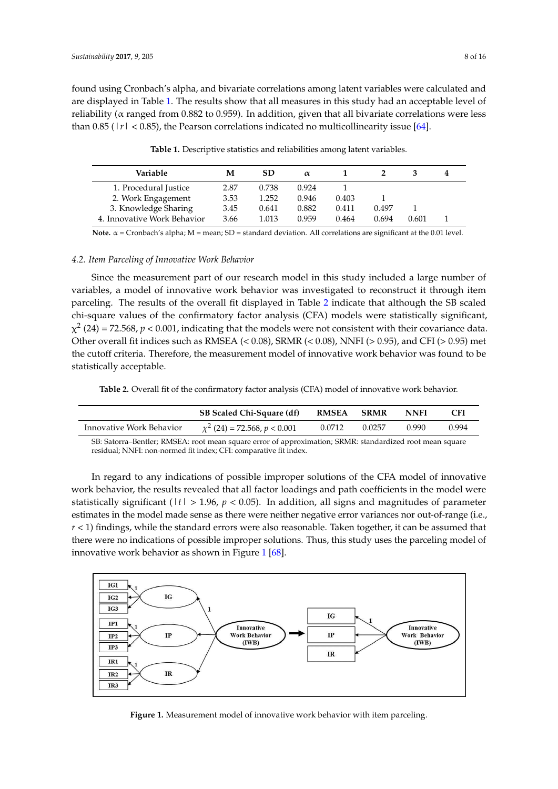found using Cronbach's alpha, and bivariate correlations among latent variables were calculated and are displayed in Table [1.](#page-7-0) The results show that all measures in this study had an acceptable level of reliability ( $\alpha$  ranged from 0.882 to 0.959). In addition, given that all bivariate correlations were less than 0.85 ( $|r| < 0.85$ ), the Pearson correlations indicated no multicollinearity issue [\[64\]](#page-15-7).

| Variable                    | M    | SD.   | $\alpha$ |       |       |       |  |
|-----------------------------|------|-------|----------|-------|-------|-------|--|
| 1. Procedural Justice       | 2.87 | 0.738 | 0.924    |       |       |       |  |
| 2. Work Engagement          | 3.53 | 1.252 | 0.946    | 0.403 |       |       |  |
| 3. Knowledge Sharing        | 3.45 | 0.641 | 0.882    | 0.411 | 0.497 |       |  |
| 4. Innovative Work Behavior | 3.66 | 1.013 | 0.959    | 0.464 | 0.694 | 0.601 |  |

<span id="page-7-0"></span>**Table 1.** Descriptive statistics and reliabilities among latent variables. correlations were less than 0.85 (|*r*| < 0.85), the Pearson correlations indicated no multicollinearity

**Note.** α = Cronbach's alpha; M = mean; SD = standard deviation. All correlations are significant at the 0.01 level.  $4-$  Cronbach 5 alpha, bi – mean, bb – standard deviation. All correlations are significant at the old

#### *4.2. Item Parceling of Innovative Work Behavior*

Since the measurement part of our research model in this study included a large number of variables, a model of innovative work behavior was investigated to reconstruct it through item parceling. The results of the overall fit displayed in Table [2](#page-7-1) indicate that although the SB scaled chi-square values of the confirmatory factor analysis (CFA) models were statistically significant,  $\chi^2$  (24) = 72.568, *p* < 0.001, indicating that the models were not consistent with their covariance data. Other overall fit indices such as RMSEA (< 0.08), SRMR (< 0.08), NNFI (> 0.95), and CFI (> 0.95) met Other overall fit indices such as RMSEA (< 0.08), SRMR (< 0.08), NNFI (> 0.95), and CFI (> 0.95) met the cutoff criteria. Therefore, the measurement model of innovative work behavior was found to be the cutoff criteria. Therefore, the measurement model of innovative work behavior was found to be statistically acceptable. statistically acceptable. chi-square values of the confirmatory factor analysis (CFA) models were statistically significant,  $\frac{1}{2}$ 

<span id="page-7-1"></span>**Table 2.** Overall fit of the confirmatory factor analysis (CFA) model of innovative work behavior. **Table 2.** Overall fit of the confirmatory factor analysis (CFA) model of innovative work behavior.

|                          | SB Scaled Chi-Square (df)         | <b>RMSEA</b> | <b>SRMR</b> | <b>NNFI</b> | <b>CFI</b> |
|--------------------------|-----------------------------------|--------------|-------------|-------------|------------|
| Innovative Work Behavior | $\chi^2$ (24) = 72.568, p < 0.001 | 0.0712       | 0.0257      | 0.990       | 0.994      |

**SB: Satorra–Bentler; RMSEA: root mean square error of approximation; SRMR: standardized root mean square** residual; NNFI: non-normed fit index; CFI: comparative fit index.  $S$ : Satorra $\mathcal{S}$ : RMSEA: root mean square error of approximation; SRMR: standardized root mean square error of approximation; SRMR: standardized root mean square extendardized root mean square extendardized root mean

In regard to any indications of possible improper solutions of the CFA model of innovative work behavior, the results revealed that all factor loadings and path coefficients in the model were statistically significant ( $|t| > 1.96$ ,  $p < 0.05$ ). In addition, all signs and magnitudes of parameter estimates in the model made sense as there were neither negative error variances nor out-of-range (i.e.,  $r$  < 1) findings, while the standard errors were also reasonable. Taken together, it can be assumed that there were no indications of possible improper solutions. Thus, this study uses the parceling model of that there were no indicated in  $\frac{1}{2}$  $\frac{1}{2}$  $\frac{1}{2}$  and  $\frac{1}{2}$  indications of possible improvements. Thus, the parceling improvements of parceling in Figure 1 [\[68\]](#page-15-11). value work behavior as shown in Figure 1  $[00]$ .

<span id="page-7-2"></span>

**Figure 1.** Measurement model of innovative work behavior with item parceling. **Figure 1.** Measurement model of innovative work behavior with item parceling.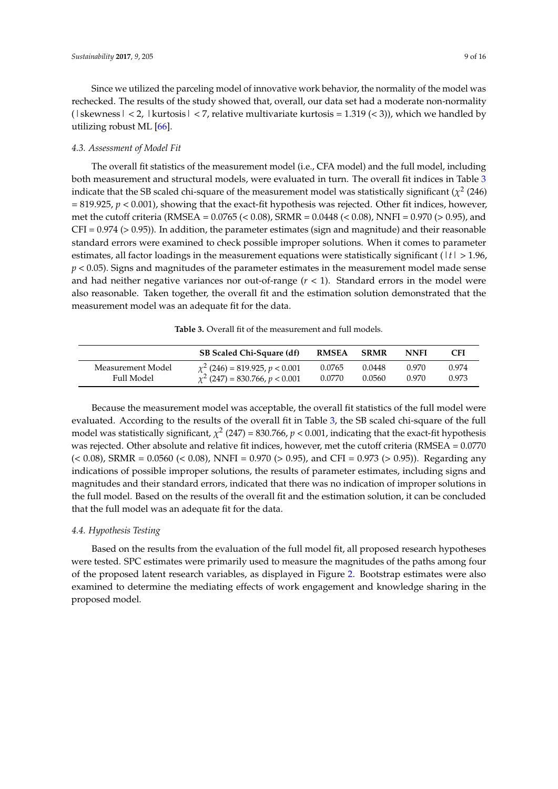Since we utilized the parceling model of innovative work behavior, the normality of the model was rechecked. The results of the study showed that, overall, our data set had a moderate non-normality  $(|$  skewness  $|$  < 2,  $|$  kurtosis  $|$  < 7, relative multivariate kurtosis = 1.319 (< 3)), which we handled by utilizing robust ML [\[66\]](#page-15-9).

### *4.3. Assessment of Model Fit*

The overall fit statistics of the measurement model (i.e., CFA model) and the full model, including both measurement and structural models, were evaluated in turn. The overall fit indices in Table [3](#page-8-0) indicate that the SB scaled chi-square of the measurement model was statistically significant ( $\chi^2$  (246)  $= 819.925$ ,  $p < 0.001$ ), showing that the exact-fit hypothesis was rejected. Other fit indices, however, met the cutoff criteria (RMSEA = 0.0765 (< 0.08), SRMR = 0.0448 (< 0.08), NNFI = 0.970 (> 0.95), and CFI = 0.974 (> 0.95)). In addition, the parameter estimates (sign and magnitude) and their reasonable standard errors were examined to check possible improper solutions. When it comes to parameter estimates, all factor loadings in the measurement equations were statistically significant (|*t*| > 1.96, *p* < 0.05). Signs and magnitudes of the parameter estimates in the measurement model made sense and had neither negative variances nor out-of-range  $(r < 1)$ . Standard errors in the model were also reasonable. Taken together, the overall fit and the estimation solution demonstrated that the measurement model was an adequate fit for the data.

**Table 3.** Overall fit of the measurement and full models.

<span id="page-8-0"></span>

|                   | SB Scaled Chi-Square (df)             | <b>RMSEA</b> | <b>SRMR</b> | <b>NNFI</b> | <b>CFI</b> |
|-------------------|---------------------------------------|--------------|-------------|-------------|------------|
| Measurement Model | $\chi^2$ (246) = 819.925, p < 0.001   | 0.0765       | 0.0448      | 0.970       | 0.974      |
| Full Model        | $\chi^2$ (247) = 830.766, $p < 0.001$ | 0.0770       | 0.0560      | 0.970       | 0.973      |

Because the measurement model was acceptable, the overall fit statistics of the full model were evaluated. According to the results of the overall fit in Table [3,](#page-8-0) the SB scaled chi-square of the full model was statistically significant,  $\chi^2$  (247) = 830.766,  $p < 0.001$ , indicating that the exact-fit hypothesis was rejected. Other absolute and relative fit indices, however, met the cutoff criteria (RMSEA = 0.0770  $(< 0.08$ ), SRMR = 0.0560  $(< 0.08$ ), NNFI = 0.970  $(> 0.95)$ , and CFI = 0.973  $(> 0.95)$ ). Regarding any indications of possible improper solutions, the results of parameter estimates, including signs and magnitudes and their standard errors, indicated that there was no indication of improper solutions in the full model. Based on the results of the overall fit and the estimation solution, it can be concluded that the full model was an adequate fit for the data.

# *4.4. Hypothesis Testing*

Based on the results from the evaluation of the full model fit, all proposed research hypotheses were tested. SPC estimates were primarily used to measure the magnitudes of the paths among four of the proposed latent research variables, as displayed in Figure [2.](#page-9-0) Bootstrap estimates were also examined to determine the mediating effects of work engagement and knowledge sharing in the proposed model.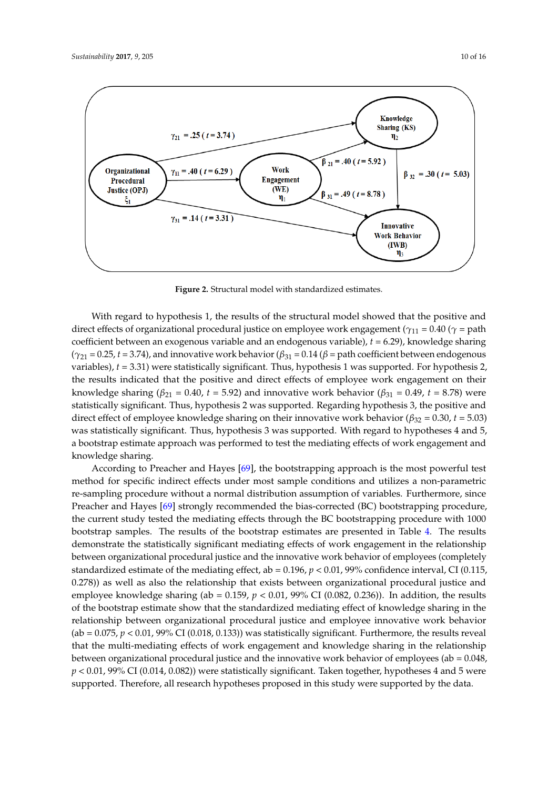$\mathbf{z}$ 

<span id="page-9-0"></span>

**Figure 2.** Structural model with standardized estimates. **Figure 2.** Structural model with standardized estimates.

With regard to hypothesis 1, the results of the structural model showed that the positive and With regard to hypothesis 1, the results of the structural model showed that the positive and direct effects of organizational procedural justice on employee work engagement ( $\gamma_{11}$  = 0.40 ( $\gamma$  = path coefficient between an exogenous variable and an endogenous variable), *t* = 6.29), knowledge sharing coefficient between an exogenous variable and an endogenous variable), *t* = 6.29), knowledge sharing  $(\gamma_{21} = 0.25, t = 3.74)$ , and innovative work behavior ( $\beta_{31} = 0.14$  ( $\beta$  = path coefficient between endogenous variables),  $t = 3.31$ ) were statistically significant. Thus, hypothesis 1 was supported. For hypothesis 2, the results indicated that the positive and direct effects of employee work engagement on their the results indicated that the positive and direct effects of employee work engagement on their knowledge sharing ( $\beta_{21} = 0.40$ ,  $t = 5.92$ ) and innovative work behavior ( $\beta_{31} = 0.49$ ,  $t = 8.78$ ) were statistically significant. Thus, hypothesis 2 was supported. Regarding hypothesis 3, the positive and statistically significant. Thus, hypothesis 2 was supported. Regarding hypothesis 3, the positive and direct effect of employee knowledge sharing on their innovative work behavior ( $\beta_{32} = 0.30$ ,  $t = 5.03$ ) was statistically significant. Thus, hypothesis 3 was supported. With regard to hypotheses 4 and 5, bootstrap estimate approach was performed to test the mediating effects of work engagement and a bootstrap estimate approach was performed to test the mediating effects of work engagement and knowledge sharing. knowledge sharing.

According to Preacher and Hayes [69], the bootstrapping approach is the most powerful test According to Preacher and Hayes [\[69\]](#page-15-12), the bootstrapping approach is the most powerful test method for specific indirect effects under most sample conditions and utilizes a non-parametric method for specific indirect effects under most sample conditions and utilizes a non-parametric re-sampling procedure without a normal distribution assumption of variables. Furthermore, since re-sampling procedure without a normal distribution assumption of variables. Furthermore, since Preacher and Hayes [\[69\]](#page-15-12) strongly recommended the bias-corrected (BC) bootstrapping procedure, the current study tested the mediating effects through the BC bootstrapping procedure with 1000 the current study tested the mediating effects through the BC bootstrapping procedure with 1000 bootstrap samples. The results of the bootstrap estimates are presented in Table 4. The results bootstrap samples. The results of the bootstrap estimates are presented in Table [4.](#page-10-0) The results demonstrate the statistically significant mediating effects of work engagement in the relationship demonstrate the statistically significant mediating effects of work engagement in the relationship between organizational procedural justice and the innovative work behavior of employees between organizational procedural justice and the innovative work behavior of employees (completely standardized estimate of the mediating effect, ab = 0.196,  $p < 0.01$ , 99% confidence interval, CI (0.115, 0.278)) as well as also the relationship that exists between organizational procedural justice and employee knowledge sharing (ab =  $0.159$ ,  $p < 0.01$ , 99% CI (0.082, 0.236)). In addition, the results of the bootstrap estimate show that the standardized mediating effect of knowledge sharing in the relationship between organizational procedural justice and employee innovative work behavior (ab = 0.075,  $p < 0.01$ , 99% CI (0.018, 0.133)) was statistically significant. Furthermore, the results reveal that the multi-mediating effects of work engagement and knowledge sharing in the relationship between organizational procedural justice and the innovative work behavior of employees (ab = 0.048,  $p < 0.01$ , 99% CI (0.014, 0.082)) were statistically significant. Taken together, hypotheses 4 and 5 were .<br>supported. Therefore, all research hypotheses proposed in this study were supported by the data.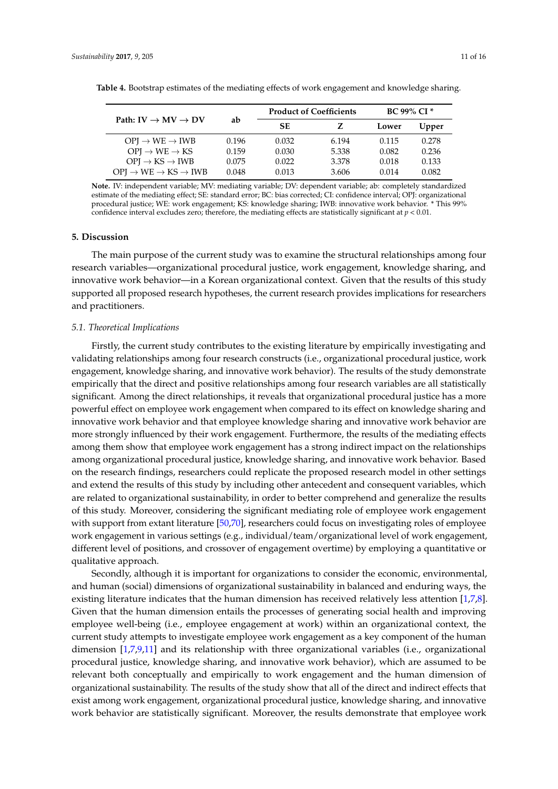|                                                     | ab    |           | <b>Product of Coefficients</b> | <b>BC 99% CI*</b> |       |  |
|-----------------------------------------------------|-------|-----------|--------------------------------|-------------------|-------|--|
| Path: $IV \rightarrow MV \rightarrow DV$            |       | <b>SE</b> | z                              | Lower             | Upper |  |
| $OPI \rightarrow WE \rightarrow IWB$                | 0.196 | 0.032     | 6.194                          | 0.115             | 0.278 |  |
| $OPI \rightarrow WE \rightarrow KS$                 | 0.159 | 0.030     | 5.338                          | 0.082             | 0.236 |  |
| $OPI \rightarrow KS \rightarrow IWB$                | 0.075 | 0.022     | 3.378                          | 0.018             | 0.133 |  |
| $OPI \rightarrow WE \rightarrow KS \rightarrow IWB$ | 0.048 | 0.013     | 3.606                          | 0.014             | 0.082 |  |

<span id="page-10-0"></span>**Table 4.** Bootstrap estimates of the mediating effects of work engagement and knowledge sharing.

**Note.** IV: independent variable; MV: mediating variable; DV: dependent variable; ab: completely standardized estimate of the mediating effect; SE: standard error; BC: bias corrected; CI: confidence interval; OPJ: organizational procedural justice; WE: work engagement; KS: knowledge sharing; IWB: innovative work behavior. \* This 99% confidence interval excludes zero; therefore, the mediating effects are statistically significant at  $p < 0.01$ .

#### **5. Discussion**

The main purpose of the current study was to examine the structural relationships among four research variables—organizational procedural justice, work engagement, knowledge sharing, and innovative work behavior—in a Korean organizational context. Given that the results of this study supported all proposed research hypotheses, the current research provides implications for researchers and practitioners.

#### *5.1. Theoretical Implications*

Firstly, the current study contributes to the existing literature by empirically investigating and validating relationships among four research constructs (i.e., organizational procedural justice, work engagement, knowledge sharing, and innovative work behavior). The results of the study demonstrate empirically that the direct and positive relationships among four research variables are all statistically significant. Among the direct relationships, it reveals that organizational procedural justice has a more powerful effect on employee work engagement when compared to its effect on knowledge sharing and innovative work behavior and that employee knowledge sharing and innovative work behavior are more strongly influenced by their work engagement. Furthermore, the results of the mediating effects among them show that employee work engagement has a strong indirect impact on the relationships among organizational procedural justice, knowledge sharing, and innovative work behavior. Based on the research findings, researchers could replicate the proposed research model in other settings and extend the results of this study by including other antecedent and consequent variables, which are related to organizational sustainability, in order to better comprehend and generalize the results of this study. Moreover, considering the significant mediating role of employee work engagement with support from extant literature [\[50,](#page-14-19)[70\]](#page-15-13), researchers could focus on investigating roles of employee work engagement in various settings (e.g., individual/team/organizational level of work engagement, different level of positions, and crossover of engagement overtime) by employing a quantitative or qualitative approach.

Secondly, although it is important for organizations to consider the economic, environmental, and human (social) dimensions of organizational sustainability in balanced and enduring ways, the existing literature indicates that the human dimension has received relatively less attention [\[1,](#page-12-0)[7,](#page-13-1)[8\]](#page-13-2). Given that the human dimension entails the processes of generating social health and improving employee well-being (i.e., employee engagement at work) within an organizational context, the current study attempts to investigate employee work engagement as a key component of the human dimension [\[1,](#page-12-0)[7,](#page-13-1)[9,](#page-13-3)[11\]](#page-13-5) and its relationship with three organizational variables (i.e., organizational procedural justice, knowledge sharing, and innovative work behavior), which are assumed to be relevant both conceptually and empirically to work engagement and the human dimension of organizational sustainability. The results of the study show that all of the direct and indirect effects that exist among work engagement, organizational procedural justice, knowledge sharing, and innovative work behavior are statistically significant. Moreover, the results demonstrate that employee work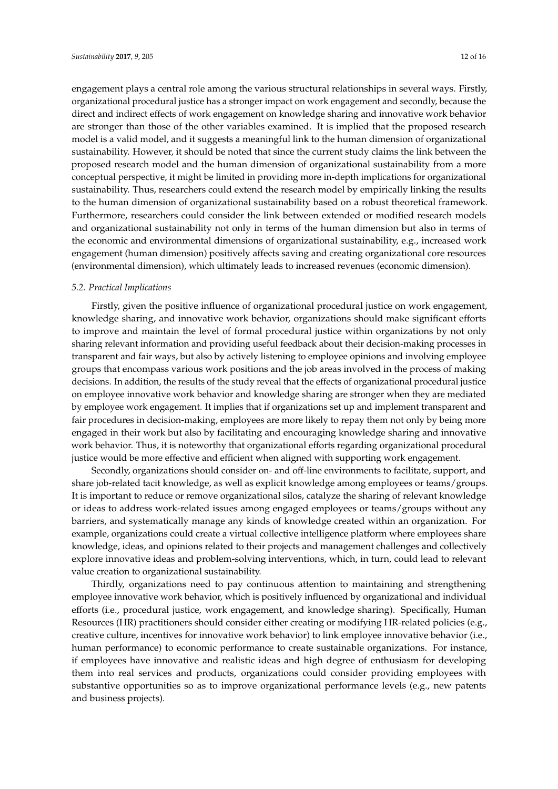engagement plays a central role among the various structural relationships in several ways. Firstly, organizational procedural justice has a stronger impact on work engagement and secondly, because the direct and indirect effects of work engagement on knowledge sharing and innovative work behavior are stronger than those of the other variables examined. It is implied that the proposed research model is a valid model, and it suggests a meaningful link to the human dimension of organizational sustainability. However, it should be noted that since the current study claims the link between the proposed research model and the human dimension of organizational sustainability from a more conceptual perspective, it might be limited in providing more in-depth implications for organizational sustainability. Thus, researchers could extend the research model by empirically linking the results to the human dimension of organizational sustainability based on a robust theoretical framework. Furthermore, researchers could consider the link between extended or modified research models and organizational sustainability not only in terms of the human dimension but also in terms of the economic and environmental dimensions of organizational sustainability, e.g., increased work engagement (human dimension) positively affects saving and creating organizational core resources (environmental dimension), which ultimately leads to increased revenues (economic dimension).

#### *5.2. Practical Implications*

Firstly, given the positive influence of organizational procedural justice on work engagement, knowledge sharing, and innovative work behavior, organizations should make significant efforts to improve and maintain the level of formal procedural justice within organizations by not only sharing relevant information and providing useful feedback about their decision-making processes in transparent and fair ways, but also by actively listening to employee opinions and involving employee groups that encompass various work positions and the job areas involved in the process of making decisions. In addition, the results of the study reveal that the effects of organizational procedural justice on employee innovative work behavior and knowledge sharing are stronger when they are mediated by employee work engagement. It implies that if organizations set up and implement transparent and fair procedures in decision-making, employees are more likely to repay them not only by being more engaged in their work but also by facilitating and encouraging knowledge sharing and innovative work behavior. Thus, it is noteworthy that organizational efforts regarding organizational procedural justice would be more effective and efficient when aligned with supporting work engagement.

Secondly, organizations should consider on- and off-line environments to facilitate, support, and share job-related tacit knowledge, as well as explicit knowledge among employees or teams/groups. It is important to reduce or remove organizational silos, catalyze the sharing of relevant knowledge or ideas to address work-related issues among engaged employees or teams/groups without any barriers, and systematically manage any kinds of knowledge created within an organization. For example, organizations could create a virtual collective intelligence platform where employees share knowledge, ideas, and opinions related to their projects and management challenges and collectively explore innovative ideas and problem-solving interventions, which, in turn, could lead to relevant value creation to organizational sustainability.

Thirdly, organizations need to pay continuous attention to maintaining and strengthening employee innovative work behavior, which is positively influenced by organizational and individual efforts (i.e., procedural justice, work engagement, and knowledge sharing). Specifically, Human Resources (HR) practitioners should consider either creating or modifying HR-related policies (e.g., creative culture, incentives for innovative work behavior) to link employee innovative behavior (i.e., human performance) to economic performance to create sustainable organizations. For instance, if employees have innovative and realistic ideas and high degree of enthusiasm for developing them into real services and products, organizations could consider providing employees with substantive opportunities so as to improve organizational performance levels (e.g., new patents and business projects).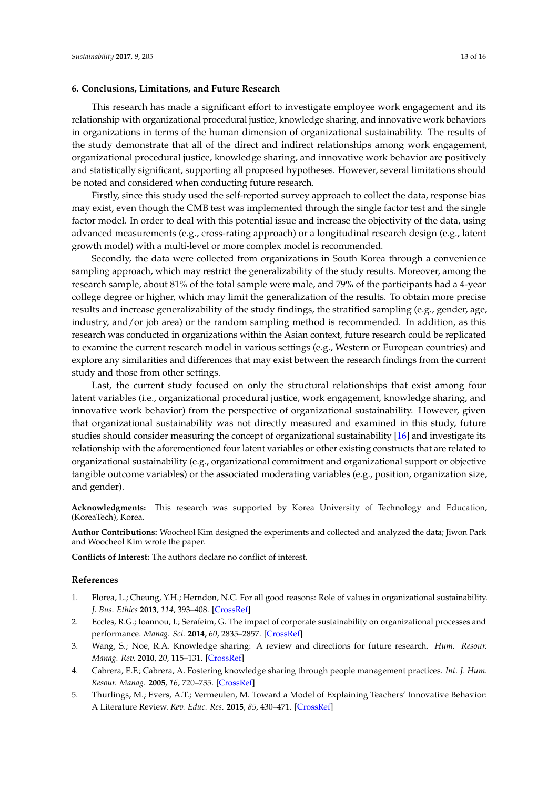#### **6. Conclusions, Limitations, and Future Research**

This research has made a significant effort to investigate employee work engagement and its relationship with organizational procedural justice, knowledge sharing, and innovative work behaviors in organizations in terms of the human dimension of organizational sustainability. The results of the study demonstrate that all of the direct and indirect relationships among work engagement, organizational procedural justice, knowledge sharing, and innovative work behavior are positively and statistically significant, supporting all proposed hypotheses. However, several limitations should be noted and considered when conducting future research.

Firstly, since this study used the self-reported survey approach to collect the data, response bias may exist, even though the CMB test was implemented through the single factor test and the single factor model. In order to deal with this potential issue and increase the objectivity of the data, using advanced measurements (e.g., cross-rating approach) or a longitudinal research design (e.g., latent growth model) with a multi-level or more complex model is recommended.

Secondly, the data were collected from organizations in South Korea through a convenience sampling approach, which may restrict the generalizability of the study results. Moreover, among the research sample, about 81% of the total sample were male, and 79% of the participants had a 4-year college degree or higher, which may limit the generalization of the results. To obtain more precise results and increase generalizability of the study findings, the stratified sampling (e.g., gender, age, industry, and/or job area) or the random sampling method is recommended. In addition, as this research was conducted in organizations within the Asian context, future research could be replicated to examine the current research model in various settings (e.g., Western or European countries) and explore any similarities and differences that may exist between the research findings from the current study and those from other settings.

Last, the current study focused on only the structural relationships that exist among four latent variables (i.e., organizational procedural justice, work engagement, knowledge sharing, and innovative work behavior) from the perspective of organizational sustainability. However, given that organizational sustainability was not directly measured and examined in this study, future studies should consider measuring the concept of organizational sustainability [\[16\]](#page-13-11) and investigate its relationship with the aforementioned four latent variables or other existing constructs that are related to organizational sustainability (e.g., organizational commitment and organizational support or objective tangible outcome variables) or the associated moderating variables (e.g., position, organization size, and gender).

**Acknowledgments:** This research was supported by Korea University of Technology and Education, (KoreaTech), Korea.

**Author Contributions:** Woocheol Kim designed the experiments and collected and analyzed the data; Jiwon Park and Woocheol Kim wrote the paper.

**Conflicts of Interest:** The authors declare no conflict of interest.

#### **References**

- <span id="page-12-0"></span>1. Florea, L.; Cheung, Y.H.; Herndon, N.C. For all good reasons: Role of values in organizational sustainability. *J. Bus. Ethics* **2013**, *114*, 393–408. [\[CrossRef\]](http://dx.doi.org/10.1007/s10551-012-1355-x)
- 2. Eccles, R.G.; Ioannou, I.; Serafeim, G. The impact of corporate sustainability on organizational processes and performance. *Manag. Sci.* **2014**, *60*, 2835–2857. [\[CrossRef\]](http://dx.doi.org/10.1287/mnsc.2014.1984)
- <span id="page-12-2"></span>3. Wang, S.; Noe, R.A. Knowledge sharing: A review and directions for future research. *Hum. Resour. Manag. Rev.* **2010**, *20*, 115–131. [\[CrossRef\]](http://dx.doi.org/10.1016/j.hrmr.2009.10.001)
- <span id="page-12-3"></span>4. Cabrera, E.F.; Cabrera, A. Fostering knowledge sharing through people management practices. *Int. J. Hum. Resour. Manag.* **2005**, *16*, 720–735. [\[CrossRef\]](http://dx.doi.org/10.1080/09585190500083020)
- <span id="page-12-1"></span>5. Thurlings, M.; Evers, A.T.; Vermeulen, M. Toward a Model of Explaining Teachers' Innovative Behavior: A Literature Review. *Rev. Educ. Res.* **2015**, *85*, 430–471. [\[CrossRef\]](http://dx.doi.org/10.3102/0034654314557949)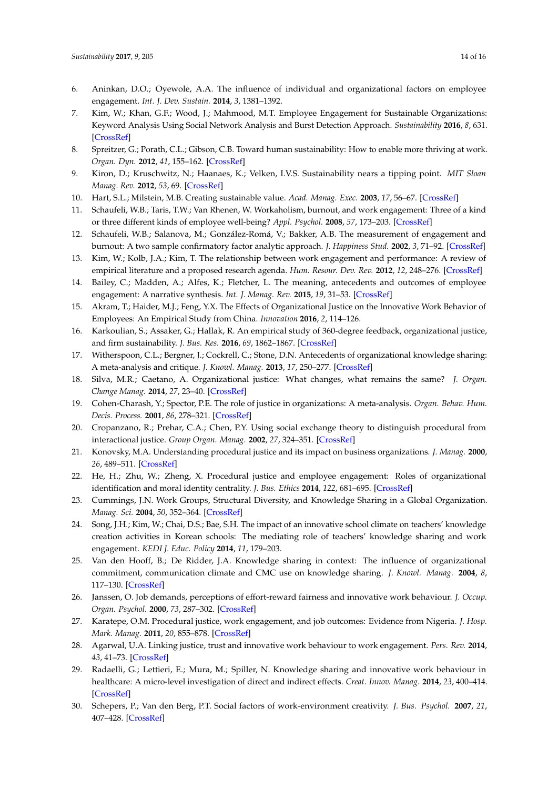- <span id="page-13-0"></span>6. Aninkan, D.O.; Oyewole, A.A. The influence of individual and organizational factors on employee engagement. *Int. J. Dev. Sustain.* **2014**, *3*, 1381–1392.
- <span id="page-13-1"></span>7. Kim, W.; Khan, G.F.; Wood, J.; Mahmood, M.T. Employee Engagement for Sustainable Organizations: Keyword Analysis Using Social Network Analysis and Burst Detection Approach. *Sustainability* **2016**, *8*, 631. [\[CrossRef\]](http://dx.doi.org/10.3390/su8070631)
- <span id="page-13-2"></span>8. Spreitzer, G.; Porath, C.L.; Gibson, C.B. Toward human sustainability: How to enable more thriving at work. *Organ. Dyn.* **2012**, *41*, 155–162. [\[CrossRef\]](http://dx.doi.org/10.1016/j.orgdyn.2012.01.009)
- <span id="page-13-3"></span>9. Kiron, D.; Kruschwitz, N.; Haanaes, K.; Velken, I.V.S. Sustainability nears a tipping point. *MIT Sloan Manag. Rev.* **2012**, *53*, 69. [\[CrossRef\]](http://dx.doi.org/10.1108/sd.2012.05628gaa.012)
- <span id="page-13-4"></span>10. Hart, S.L.; Milstein, M.B. Creating sustainable value. *Acad. Manag. Exec.* **2003**, *17*, 56–67. [\[CrossRef\]](http://dx.doi.org/10.5465/AME.2003.10025194)
- <span id="page-13-5"></span>11. Schaufeli, W.B.; Taris, T.W.; Van Rhenen, W. Workaholism, burnout, and work engagement: Three of a kind or three different kinds of employee well-being? *Appl. Psychol.* **2008**, *57*, 173–203. [\[CrossRef\]](http://dx.doi.org/10.1111/j.1464-0597.2007.00285.x)
- <span id="page-13-6"></span>12. Schaufeli, W.B.; Salanova, M.; González-Romá, V.; Bakker, A.B. The measurement of engagement and burnout: A two sample confirmatory factor analytic approach. *J. Happiness Stud.* **2002**, *3*, 71–92. [\[CrossRef\]](http://dx.doi.org/10.1023/A:1015630930326)
- <span id="page-13-7"></span>13. Kim, W.; Kolb, J.A.; Kim, T. The relationship between work engagement and performance: A review of empirical literature and a proposed research agenda. *Hum. Resour. Dev. Rev.* **2012**, *12*, 248–276. [\[CrossRef\]](http://dx.doi.org/10.1177/1534484312461635)
- <span id="page-13-8"></span>14. Bailey, C.; Madden, A.; Alfes, K.; Fletcher, L. The meaning, antecedents and outcomes of employee engagement: A narrative synthesis. *Int. J. Manag. Rev.* **2015**, *19*, 31–53. [\[CrossRef\]](http://dx.doi.org/10.1111/ijmr.12077)
- <span id="page-13-9"></span>15. Akram, T.; Haider, M.J.; Feng, Y.X. The Effects of Organizational Justice on the Innovative Work Behavior of Employees: An Empirical Study from China. *Innovation* **2016**, *2*, 114–126.
- <span id="page-13-11"></span>16. Karkoulian, S.; Assaker, G.; Hallak, R. An empirical study of 360-degree feedback, organizational justice, and firm sustainability. *J. Bus. Res.* **2016**, *69*, 1862–1867. [\[CrossRef\]](http://dx.doi.org/10.1016/j.jbusres.2015.10.070)
- <span id="page-13-10"></span>17. Witherspoon, C.L.; Bergner, J.; Cockrell, C.; Stone, D.N. Antecedents of organizational knowledge sharing: A meta-analysis and critique. *J. Knowl. Manag.* **2013**, *17*, 250–277. [\[CrossRef\]](http://dx.doi.org/10.1108/13673271311315204)
- <span id="page-13-12"></span>18. Silva, M.R.; Caetano, A. Organizational justice: What changes, what remains the same? *J. Organ. Change Manag.* **2014**, *27*, 23–40. [\[CrossRef\]](http://dx.doi.org/10.1108/JOCM-06-2013-0092)
- <span id="page-13-13"></span>19. Cohen-Charash, Y.; Spector, P.E. The role of justice in organizations: A meta-analysis. *Organ. Behav. Hum. Decis. Process.* **2001**, *86*, 278–321. [\[CrossRef\]](http://dx.doi.org/10.1006/obhd.2001.2958)
- <span id="page-13-15"></span>20. Cropanzano, R.; Prehar, C.A.; Chen, P.Y. Using social exchange theory to distinguish procedural from interactional justice. *Group Organ. Manag.* **2002**, *27*, 324–351. [\[CrossRef\]](http://dx.doi.org/10.1177/1059601102027003002)
- <span id="page-13-22"></span>21. Konovsky, M.A. Understanding procedural justice and its impact on business organizations. *J. Manag.* **2000**, *26*, 489–511. [\[CrossRef\]](http://dx.doi.org/10.1177/014920630002600306)
- <span id="page-13-14"></span>22. He, H.; Zhu, W.; Zheng, X. Procedural justice and employee engagement: Roles of organizational identification and moral identity centrality. *J. Bus. Ethics* **2014**, *122*, 681–695. [\[CrossRef\]](http://dx.doi.org/10.1007/s10551-013-1774-3)
- <span id="page-13-16"></span>23. Cummings, J.N. Work Groups, Structural Diversity, and Knowledge Sharing in a Global Organization. *Manag. Sci.* **2004**, *50*, 352–364. [\[CrossRef\]](http://dx.doi.org/10.1287/mnsc.1030.0134)
- <span id="page-13-18"></span>24. Song, J.H.; Kim, W.; Chai, D.S.; Bae, S.H. The impact of an innovative school climate on teachers' knowledge creation activities in Korean schools: The mediating role of teachers' knowledge sharing and work engagement. *KEDI J. Educ. Policy* **2014**, *11*, 179–203.
- <span id="page-13-17"></span>25. Van den Hooff, B.; De Ridder, J.A. Knowledge sharing in context: The influence of organizational commitment, communication climate and CMC use on knowledge sharing. *J. Knowl. Manag.* **2004**, *8*, 117–130. [\[CrossRef\]](http://dx.doi.org/10.1108/13673270410567675)
- <span id="page-13-19"></span>26. Janssen, O. Job demands, perceptions of effort-reward fairness and innovative work behaviour. *J. Occup. Organ. Psychol.* **2000**, *73*, 287–302. [\[CrossRef\]](http://dx.doi.org/10.1348/096317900167038)
- <span id="page-13-20"></span>27. Karatepe, O.M. Procedural justice, work engagement, and job outcomes: Evidence from Nigeria. *J. Hosp. Mark. Manag.* **2011**, *20*, 855–878. [\[CrossRef\]](http://dx.doi.org/10.1080/19368623.2011.577688)
- <span id="page-13-21"></span>28. Agarwal, U.A. Linking justice, trust and innovative work behaviour to work engagement. *Pers. Rev.* **2014**, *43*, 41–73. [\[CrossRef\]](http://dx.doi.org/10.1108/PR-02-2012-0019)
- <span id="page-13-24"></span>29. Radaelli, G.; Lettieri, E.; Mura, M.; Spiller, N. Knowledge sharing and innovative work behaviour in healthcare: A micro-level investigation of direct and indirect effects. *Creat. Innov. Manag.* **2014**, *23*, 400–414. [\[CrossRef\]](http://dx.doi.org/10.1111/caim.12084)
- <span id="page-13-23"></span>30. Schepers, P.; Van den Berg, P.T. Social factors of work-environment creativity. *J. Bus. Psychol.* **2007**, *21*, 407–428. [\[CrossRef\]](http://dx.doi.org/10.1007/s10869-006-9035-4)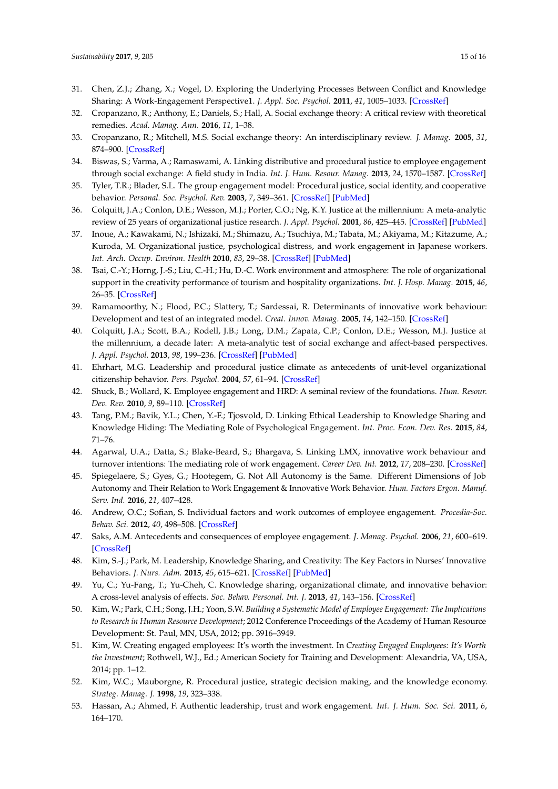- <span id="page-14-0"></span>31. Chen, Z.J.; Zhang, X.; Vogel, D. Exploring the Underlying Processes Between Conflict and Knowledge Sharing: A Work-Engagement Perspective1. *J. Appl. Soc. Psychol.* **2011**, *41*, 1005–1033. [\[CrossRef\]](http://dx.doi.org/10.1111/j.1559-1816.2011.00745.x)
- <span id="page-14-1"></span>32. Cropanzano, R.; Anthony, E.; Daniels, S.; Hall, A. Social exchange theory: A critical review with theoretical remedies. *Acad. Manag. Ann.* **2016**, *11*, 1–38.
- <span id="page-14-2"></span>33. Cropanzano, R.; Mitchell, M.S. Social exchange theory: An interdisciplinary review. *J. Manag.* **2005**, *31*, 874–900. [\[CrossRef\]](http://dx.doi.org/10.1177/0149206305279602)
- <span id="page-14-3"></span>34. Biswas, S.; Varma, A.; Ramaswami, A. Linking distributive and procedural justice to employee engagement through social exchange: A field study in India. *Int. J. Hum. Resour. Manag.* **2013**, *24*, 1570–1587. [\[CrossRef\]](http://dx.doi.org/10.1080/09585192.2012.725072)
- <span id="page-14-4"></span>35. Tyler, T.R.; Blader, S.L. The group engagement model: Procedural justice, social identity, and cooperative behavior. *Personal. Soc. Psychol. Rev.* **2003**, *7*, 349–361. [\[CrossRef\]](http://dx.doi.org/10.1207/S15327957PSPR0704_07) [\[PubMed\]](http://www.ncbi.nlm.nih.gov/pubmed/14633471)
- <span id="page-14-5"></span>36. Colquitt, J.A.; Conlon, D.E.; Wesson, M.J.; Porter, C.O.; Ng, K.Y. Justice at the millennium: A meta-analytic review of 25 years of organizational justice research. *J. Appl. Psychol.* **2001**, *86*, 425–445. [\[CrossRef\]](http://dx.doi.org/10.1037/0021-9010.86.3.425) [\[PubMed\]](http://www.ncbi.nlm.nih.gov/pubmed/11419803)
- <span id="page-14-6"></span>37. Inoue, A.; Kawakami, N.; Ishizaki, M.; Shimazu, A.; Tsuchiya, M.; Tabata, M.; Akiyama, M.; Kitazume, A.; Kuroda, M. Organizational justice, psychological distress, and work engagement in Japanese workers. *Int. Arch. Occup. Environ. Health* **2010**, *83*, 29–38. [\[CrossRef\]](http://dx.doi.org/10.1007/s00420-009-0485-7) [\[PubMed\]](http://www.ncbi.nlm.nih.gov/pubmed/19904552)
- <span id="page-14-7"></span>38. Tsai, C.-Y.; Horng, J.-S.; Liu, C.-H.; Hu, D.-C. Work environment and atmosphere: The role of organizational support in the creativity performance of tourism and hospitality organizations. *Int. J. Hosp. Manag.* **2015**, *46*, 26–35. [\[CrossRef\]](http://dx.doi.org/10.1016/j.ijhm.2015.01.009)
- <span id="page-14-8"></span>39. Ramamoorthy, N.; Flood, P.C.; Slattery, T.; Sardessai, R. Determinants of innovative work behaviour: Development and test of an integrated model. *Creat. Innov. Manag.* **2005**, *14*, 142–150. [\[CrossRef\]](http://dx.doi.org/10.1111/j.1467-8691.2005.00334.x)
- <span id="page-14-9"></span>40. Colquitt, J.A.; Scott, B.A.; Rodell, J.B.; Long, D.M.; Zapata, C.P.; Conlon, D.E.; Wesson, M.J. Justice at the millennium, a decade later: A meta-analytic test of social exchange and affect-based perspectives. *J. Appl. Psychol.* **2013**, *98*, 199–236. [\[CrossRef\]](http://dx.doi.org/10.1037/a0031757) [\[PubMed\]](http://www.ncbi.nlm.nih.gov/pubmed/23458336)
- <span id="page-14-10"></span>41. Ehrhart, M.G. Leadership and procedural justice climate as antecedents of unit-level organizational citizenship behavior. *Pers. Psychol.* **2004**, *57*, 61–94. [\[CrossRef\]](http://dx.doi.org/10.1111/j.1744-6570.2004.tb02484.x)
- <span id="page-14-11"></span>42. Shuck, B.; Wollard, K. Employee engagement and HRD: A seminal review of the foundations. *Hum. Resour. Dev. Rev.* **2010**, *9*, 89–110. [\[CrossRef\]](http://dx.doi.org/10.1177/1534484309353560)
- <span id="page-14-12"></span>43. Tang, P.M.; Bavik, Y.L.; Chen, Y.-F.; Tjosvold, D. Linking Ethical Leadership to Knowledge Sharing and Knowledge Hiding: The Mediating Role of Psychological Engagement. *Int. Proc. Econ. Dev. Res.* **2015**, *84*, 71–76.
- <span id="page-14-13"></span>44. Agarwal, U.A.; Datta, S.; Blake-Beard, S.; Bhargava, S. Linking LMX, innovative work behaviour and turnover intentions: The mediating role of work engagement. *Career Dev. Int.* **2012**, *17*, 208–230. [\[CrossRef\]](http://dx.doi.org/10.1108/13620431211241063)
- <span id="page-14-14"></span>45. Spiegelaere, S.; Gyes, G.; Hootegem, G. Not All Autonomy is the Same. Different Dimensions of Job Autonomy and Their Relation to Work Engagement & Innovative Work Behavior. *Hum. Factors Ergon. Manuf. Serv. Ind.* **2016**, *21*, 407–428.
- <span id="page-14-15"></span>46. Andrew, O.C.; Sofian, S. Individual factors and work outcomes of employee engagement. *Procedia-Soc. Behav. Sci.* **2012**, *40*, 498–508. [\[CrossRef\]](http://dx.doi.org/10.1016/j.sbspro.2012.03.222)
- <span id="page-14-16"></span>47. Saks, A.M. Antecedents and consequences of employee engagement. *J. Manag. Psychol.* **2006**, *21*, 600–619. [\[CrossRef\]](http://dx.doi.org/10.1108/02683940610690169)
- <span id="page-14-17"></span>48. Kim, S.-J.; Park, M. Leadership, Knowledge Sharing, and Creativity: The Key Factors in Nurses' Innovative Behaviors. *J. Nurs. Adm.* **2015**, *45*, 615–621. [\[CrossRef\]](http://dx.doi.org/10.1097/NNA.0000000000000274) [\[PubMed\]](http://www.ncbi.nlm.nih.gov/pubmed/26565640)
- <span id="page-14-18"></span>49. Yu, C.; Yu-Fang, T.; Yu-Cheh, C. Knowledge sharing, organizational climate, and innovative behavior: A cross-level analysis of effects. *Soc. Behav. Personal. Int. J.* **2013**, *41*, 143–156. [\[CrossRef\]](http://dx.doi.org/10.2224/sbp.2013.41.1.143)
- <span id="page-14-19"></span>50. Kim, W.; Park, C.H.; Song, J.H.; Yoon, S.W. *Building a Systematic Model of Employee Engagement: The Implications to Research in Human Resource Development*; 2012 Conference Proceedings of the Academy of Human Resource Development: St. Paul, MN, USA, 2012; pp. 3916–3949.
- <span id="page-14-20"></span>51. Kim, W. Creating engaged employees: It's worth the investment. In *Creating Engaged Employees: It's Worth the Investment*; Rothwell, W.J., Ed.; American Society for Training and Development: Alexandria, VA, USA, 2014; pp. 1–12.
- <span id="page-14-21"></span>52. Kim, W.C.; Mauborgne, R. Procedural justice, strategic decision making, and the knowledge economy. *Strateg. Manag. J.* **1998**, *19*, 323–338.
- <span id="page-14-22"></span>53. Hassan, A.; Ahmed, F. Authentic leadership, trust and work engagement. *Int. J. Hum. Soc. Sci.* **2011**, *6*, 164–170.